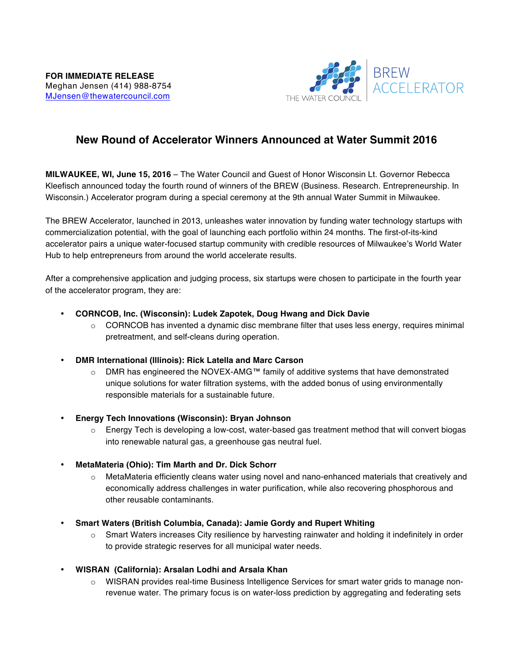

## **New Round of Accelerator Winners Announced at Water Summit 2016**

**MILWAUKEE, WI, June 15, 2016** – The Water Council and Guest of Honor Wisconsin Lt. Governor Rebecca Kleefisch announced today the fourth round of winners of the BREW (Business. Research. Entrepreneurship. In Wisconsin.) Accelerator program during a special ceremony at the 9th annual Water Summit in Milwaukee.

The BREW Accelerator, launched in 2013, unleashes water innovation by funding water technology startups with commercialization potential, with the goal of launching each portfolio within 24 months. The first-of-its-kind accelerator pairs a unique water-focused startup community with credible resources of Milwaukee's World Water Hub to help entrepreneurs from around the world accelerate results.

After a comprehensive application and judging process, six startups were chosen to participate in the fourth year of the accelerator program, they are:

- **CORNCOB, Inc. (Wisconsin): Ludek Zapotek, Doug Hwang and Dick Davie** 
	- $\circ$  CORNCOB has invented a dynamic disc membrane filter that uses less energy, requires minimal pretreatment, and self-cleans during operation.
- **DMR International (Illinois): Rick Latella and Marc Carson** 
	- o DMR has engineered the NOVEX-AMG™ family of additive systems that have demonstrated unique solutions for water filtration systems, with the added bonus of using environmentally responsible materials for a sustainable future.
- **Energy Tech Innovations (Wisconsin): Bryan Johnson** 
	- $\circ$  Energy Tech is developing a low-cost, water-based gas treatment method that will convert biogas into renewable natural gas, a greenhouse gas neutral fuel.
- **MetaMateria (Ohio): Tim Marth and Dr. Dick Schorr** 
	- $\circ$  MetaMateria efficiently cleans water using novel and nano-enhanced materials that creatively and economically address challenges in water purification, while also recovering phosphorous and other reusable contaminants.
- **Smart Waters (British Columbia, Canada): Jamie Gordy and Rupert Whiting** 
	- o Smart Waters increases City resilience by harvesting rainwater and holding it indefinitely in order to provide strategic reserves for all municipal water needs.
- **WISRAN (California): Arsalan Lodhi and Arsala Khan** 
	- o WISRAN provides real-time Business Intelligence Services for smart water grids to manage nonrevenue water. The primary focus is on water-loss prediction by aggregating and federating sets